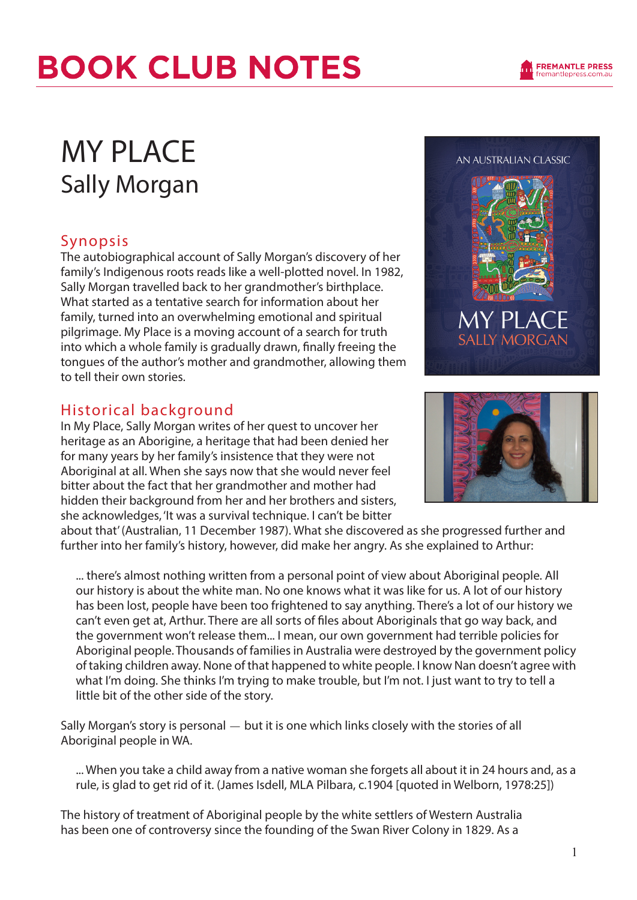#### MY PLACE Sally Morgan

#### Synopsis

The autobiographical account of Sally Morgan's discovery of her family's Indigenous roots reads like a well-plotted novel. In 1982, Sally Morgan travelled back to her grandmother's birthplace. What started as a tentative search for information about her family, turned into an overwhelming emotional and spiritual pilgrimage. My Place is a moving account of a search for truth into which a whole family is gradually drawn, finally freeing the tongues of the author's mother and grandmother, allowing them to tell their own stories.

#### Historical background

In My Place, Sally Morgan writes of her quest to uncover her heritage as an Aborigine, a heritage that had been denied her for many years by her family's insistence that they were not Aboriginal at all. When she says now that she would never feel bitter about the fact that her grandmother and mother had hidden their background from her and her brothers and sisters, she acknowledges, 'It was a survival technique. I can't be bitter

about that' (Australian, 11 December 1987). What she discovered as she progressed further and further into her family's history, however, did make her angry. As she explained to Arthur:

... there's almost nothing written from a personal point of view about Aboriginal people. All our history is about the white man. No one knows what it was like for us. A lot of our history has been lost, people have been too frightened to say anything. There's a lot of our history we can't even get at, Arthur. There are all sorts of files about Aboriginals that go way back, and the government won't release them... I mean, our own government had terrible policies for Aboriginal people. Thousands of families in Australia were destroyed by the government policy of taking children away. None of that happened to white people. I know Nan doesn't agree with what I'm doing. She thinks I'm trying to make trouble, but I'm not. I just want to try to tell a little bit of the other side of the story.

Sally Morgan's story is personal — but it is one which links closely with the stories of all Aboriginal people in WA.

... When you take a child away from a native woman she forgets all about it in 24 hours and, as a rule, is glad to get rid of it. (James Isdell, MLA Pilbara, c.1904 [quoted in Welborn, 1978:25])

The history of treatment of Aboriginal people by the white settlers of Western Australia has been one of controversy since the founding of the Swan River Colony in 1829. As a





MY PLA

AN AUSTRALIAN CLASSIC

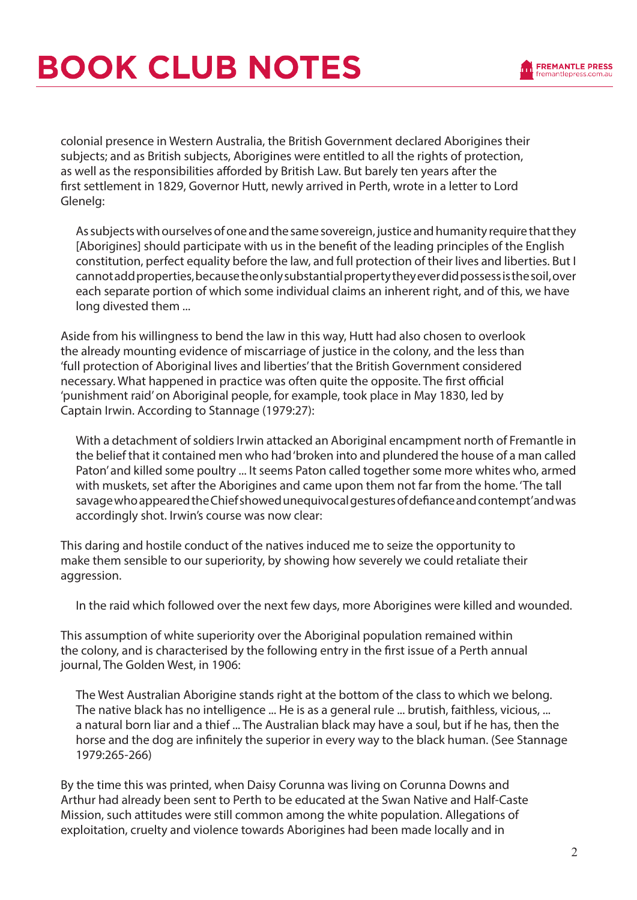

colonial presence in Western Australia, the British Government declared Aborigines their subjects; and as British subjects, Aborigines were entitled to all the rights of protection, as well as the responsibilities afforded by British Law. But barely ten years after the first settlement in 1829, Governor Hutt, newly arrived in Perth, wrote in a letter to Lord Glenelg:

As subjects with ourselves of one and the same sovereign, justice and humanity require that they [Aborigines] should participate with us in the benefit of the leading principles of the English constitution, perfect equality before the law, and full protection of their lives and liberties. But I cannot add properties, because the only substantial property they ever did possess is the soil, over each separate portion of which some individual claims an inherent right, and of this, we have long divested them ...

Aside from his willingness to bend the law in this way, Hutt had also chosen to overlook the already mounting evidence of miscarriage of justice in the colony, and the less than 'full protection of Aboriginal lives and liberties' that the British Government considered necessary. What happened in practice was often quite the opposite. The first official 'punishment raid' on Aboriginal people, for example, took place in May 1830, led by Captain Irwin. According to Stannage (1979:27):

With a detachment of soldiers Irwin attacked an Aboriginal encampment north of Fremantle in the belief that it contained men who had 'broken into and plundered the house of a man called Paton' and killed some poultry ... It seems Paton called together some more whites who, armed with muskets, set after the Aborigines and came upon them not far from the home. 'The tall savage who appeared the Chief showed unequivocal gestures of defiance and contempt' and was accordingly shot. Irwin's course was now clear:

This daring and hostile conduct of the natives induced me to seize the opportunity to make them sensible to our superiority, by showing how severely we could retaliate their aggression.

In the raid which followed over the next few days, more Aborigines were killed and wounded.

This assumption of white superiority over the Aboriginal population remained within the colony, and is characterised by the following entry in the first issue of a Perth annual journal, The Golden West, in 1906:

The West Australian Aborigine stands right at the bottom of the class to which we belong. The native black has no intelligence ... He is as a general rule ... brutish, faithless, vicious, ... a natural born liar and a thief ... The Australian black may have a soul, but if he has, then the horse and the dog are infinitely the superior in every way to the black human. (See Stannage 1979:265-266)

By the time this was printed, when Daisy Corunna was living on Corunna Downs and Arthur had already been sent to Perth to be educated at the Swan Native and Half-Caste Mission, such attitudes were still common among the white population. Allegations of exploitation, cruelty and violence towards Aborigines had been made locally and in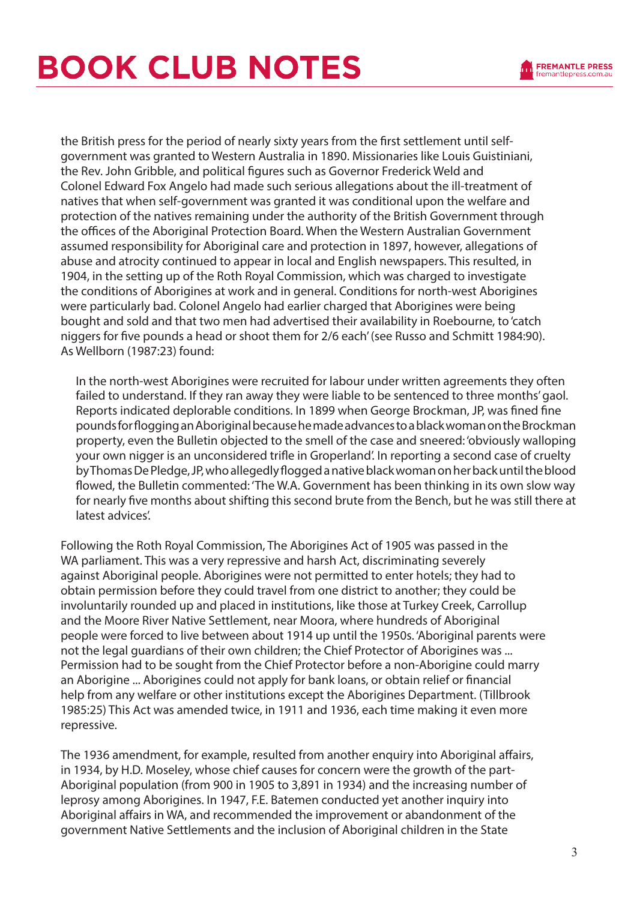

the British press for the period of nearly sixty years from the first settlement until selfgovernment was granted to Western Australia in 1890. Missionaries like Louis Guistiniani, the Rev. John Gribble, and political figures such as Governor Frederick Weld and Colonel Edward Fox Angelo had made such serious allegations about the ill-treatment of natives that when self-government was granted it was conditional upon the welfare and protection of the natives remaining under the authority of the British Government through the offices of the Aboriginal Protection Board. When the Western Australian Government assumed responsibility for Aboriginal care and protection in 1897, however, allegations of abuse and atrocity continued to appear in local and English newspapers. This resulted, in 1904, in the setting up of the Roth Royal Commission, which was charged to investigate the conditions of Aborigines at work and in general. Conditions for north-west Aborigines were particularly bad. Colonel Angelo had earlier charged that Aborigines were being bought and sold and that two men had advertised their availability in Roebourne, to 'catch niggers for five pounds a head or shoot them for 2/6 each' (see Russo and Schmitt 1984:90). As Wellborn (1987:23) found:

In the north-west Aborigines were recruited for labour under written agreements they often failed to understand. If they ran away they were liable to be sentenced to three months' gaol. Reports indicated deplorable conditions. In 1899 when George Brockman, JP, was fined fine pounds for flogging an Aboriginal because he made advances to a black woman on the Brockman property, even the Bulletin objected to the smell of the case and sneered: 'obviously walloping your own nigger is an unconsidered trifle in Groperland'. In reporting a second case of cruelty by Thomas De Pledge, JP, who allegedly flogged a native black woman on her back until the blood flowed, the Bulletin commented: 'The W.A. Government has been thinking in its own slow way for nearly five months about shifting this second brute from the Bench, but he was still there at latest advices'.

Following the Roth Royal Commission, The Aborigines Act of 1905 was passed in the WA parliament. This was a very repressive and harsh Act, discriminating severely against Aboriginal people. Aborigines were not permitted to enter hotels; they had to obtain permission before they could travel from one district to another; they could be involuntarily rounded up and placed in institutions, like those at Turkey Creek, Carrollup and the Moore River Native Settlement, near Moora, where hundreds of Aboriginal people were forced to live between about 1914 up until the 1950s. 'Aboriginal parents were not the legal guardians of their own children; the Chief Protector of Aborigines was ... Permission had to be sought from the Chief Protector before a non-Aborigine could marry an Aborigine ... Aborigines could not apply for bank loans, or obtain relief or financial help from any welfare or other institutions except the Aborigines Department. (Tillbrook 1985:25) This Act was amended twice, in 1911 and 1936, each time making it even more repressive.

The 1936 amendment, for example, resulted from another enquiry into Aboriginal affairs, in 1934, by H.D. Moseley, whose chief causes for concern were the growth of the part-Aboriginal population (from 900 in 1905 to 3,891 in 1934) and the increasing number of leprosy among Aborigines. In 1947, F.E. Batemen conducted yet another inquiry into Aboriginal affairs in WA, and recommended the improvement or abandonment of the government Native Settlements and the inclusion of Aboriginal children in the State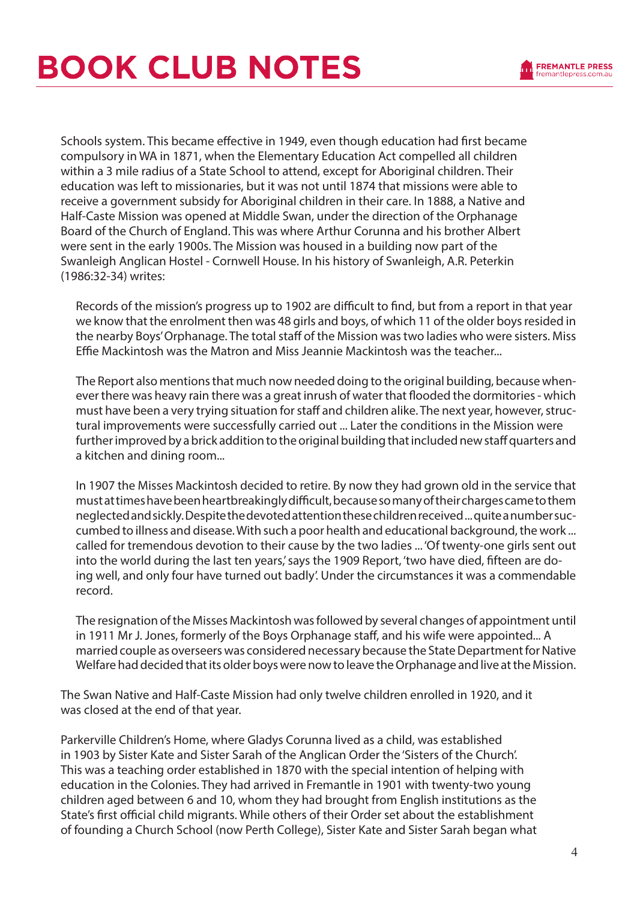

Schools system. This became effective in 1949, even though education had first became compulsory in WA in 1871, when the Elementary Education Act compelled all children within a 3 mile radius of a State School to attend, except for Aboriginal children. Their education was left to missionaries, but it was not until 1874 that missions were able to receive a government subsidy for Aboriginal children in their care. In 1888, a Native and Half-Caste Mission was opened at Middle Swan, under the direction of the Orphanage Board of the Church of England. This was where Arthur Corunna and his brother Albert were sent in the early 1900s. The Mission was housed in a building now part of the Swanleigh Anglican Hostel - Cornwell House. In his history of Swanleigh, A.R. Peterkin (1986:32-34) writes:

Records of the mission's progress up to 1902 are difficult to find, but from a report in that year we know that the enrolment then was 48 girls and boys, of which 11 of the older boys resided in the nearby Boys' Orphanage. The total staff of the Mission was two ladies who were sisters. Miss Effie Mackintosh was the Matron and Miss Jeannie Mackintosh was the teacher...

The Report also mentions that much now needed doing to the original building, because whenever there was heavy rain there was a great inrush of water that flooded the dormitories - which must have been a very trying situation for staff and children alike. The next year, however, structural improvements were successfully carried out ... Later the conditions in the Mission were further improved by a brick addition to the original building that included new staff quarters and a kitchen and dining room...

In 1907 the Misses Mackintosh decided to retire. By now they had grown old in the service that must at times have been heartbreakingly difficult, because so many of their charges came to them neglected and sickly. Despite the devoted attention these children received ... quite a number succumbed to illness and disease. With such a poor health and educational background, the work ... called for tremendous devotion to their cause by the two ladies ... 'Of twenty-one girls sent out into the world during the last ten years,' says the 1909 Report, 'two have died, fifteen are doing well, and only four have turned out badly'. Under the circumstances it was a commendable record.

The resignation of the Misses Mackintosh was followed by several changes of appointment until in 1911 Mr J. Jones, formerly of the Boys Orphanage staff, and his wife were appointed... A married couple as overseers was considered necessary because the State Department for Native Welfare had decided that its older boys were now to leave the Orphanage and live at the Mission.

The Swan Native and Half-Caste Mission had only twelve children enrolled in 1920, and it was closed at the end of that year.

Parkerville Children's Home, where Gladys Corunna lived as a child, was established in 1903 by Sister Kate and Sister Sarah of the Anglican Order the 'Sisters of the Church'. This was a teaching order established in 1870 with the special intention of helping with education in the Colonies. They had arrived in Fremantle in 1901 with twenty-two young children aged between 6 and 10, whom they had brought from English institutions as the State's first official child migrants. While others of their Order set about the establishment of founding a Church School (now Perth College), Sister Kate and Sister Sarah began what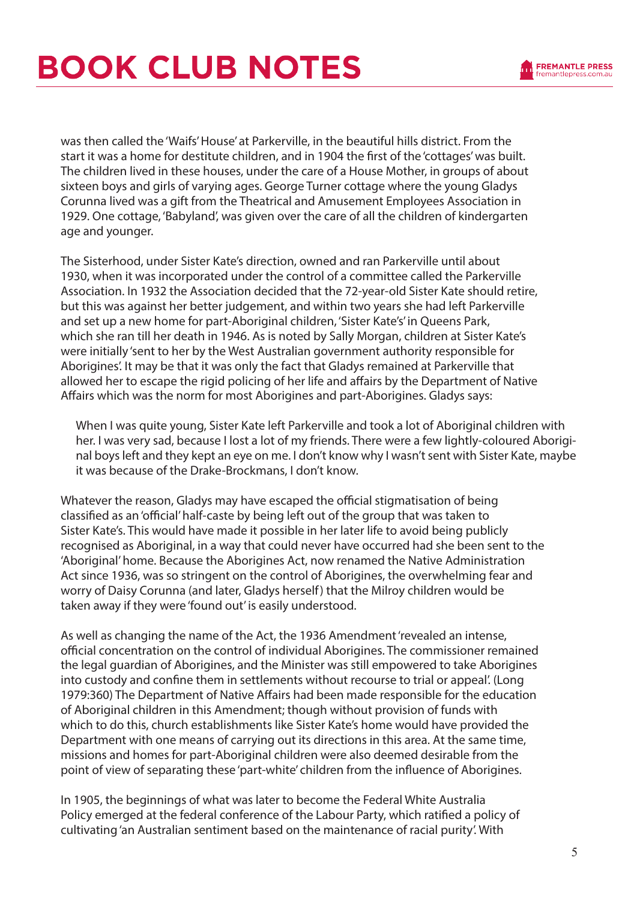

was then called the 'Waifs' House' at Parkerville, in the beautiful hills district. From the start it was a home for destitute children, and in 1904 the first of the 'cottages' was built. The children lived in these houses, under the care of a House Mother, in groups of about sixteen boys and girls of varying ages. George Turner cottage where the young Gladys Corunna lived was a gift from the Theatrical and Amusement Employees Association in 1929. One cottage, 'Babyland', was given over the care of all the children of kindergarten age and younger.

The Sisterhood, under Sister Kate's direction, owned and ran Parkerville until about 1930, when it was incorporated under the control of a committee called the Parkerville Association. In 1932 the Association decided that the 72-year-old Sister Kate should retire, but this was against her better judgement, and within two years she had left Parkerville and set up a new home for part-Aboriginal children, 'Sister Kate's' in Queens Park, which she ran till her death in 1946. As is noted by Sally Morgan, children at Sister Kate's were initially 'sent to her by the West Australian government authority responsible for Aborigines'. It may be that it was only the fact that Gladys remained at Parkerville that allowed her to escape the rigid policing of her life and affairs by the Department of Native Affairs which was the norm for most Aborigines and part-Aborigines. Gladys says:

When I was quite young, Sister Kate left Parkerville and took a lot of Aboriginal children with her. I was very sad, because I lost a lot of my friends. There were a few lightly-coloured Aboriginal boys left and they kept an eye on me. I don't know why I wasn't sent with Sister Kate, maybe it was because of the Drake-Brockmans, I don't know.

Whatever the reason, Gladys may have escaped the official stigmatisation of being classified as an 'official' half-caste by being left out of the group that was taken to Sister Kate's. This would have made it possible in her later life to avoid being publicly recognised as Aboriginal, in a way that could never have occurred had she been sent to the 'Aboriginal' home. Because the Aborigines Act, now renamed the Native Administration Act since 1936, was so stringent on the control of Aborigines, the overwhelming fear and worry of Daisy Corunna (and later, Gladys herself) that the Milroy children would be taken away if they were 'found out' is easily understood.

As well as changing the name of the Act, the 1936 Amendment 'revealed an intense, official concentration on the control of individual Aborigines. The commissioner remained the legal guardian of Aborigines, and the Minister was still empowered to take Aborigines into custody and confine them in settlements without recourse to trial or appeal'. (Long 1979:360) The Department of Native Affairs had been made responsible for the education of Aboriginal children in this Amendment; though without provision of funds with which to do this, church establishments like Sister Kate's home would have provided the Department with one means of carrying out its directions in this area. At the same time, missions and homes for part-Aboriginal children were also deemed desirable from the point of view of separating these 'part-white' children from the influence of Aborigines.

In 1905, the beginnings of what was later to become the Federal White Australia Policy emerged at the federal conference of the Labour Party, which ratified a policy of cultivating 'an Australian sentiment based on the maintenance of racial purity'. With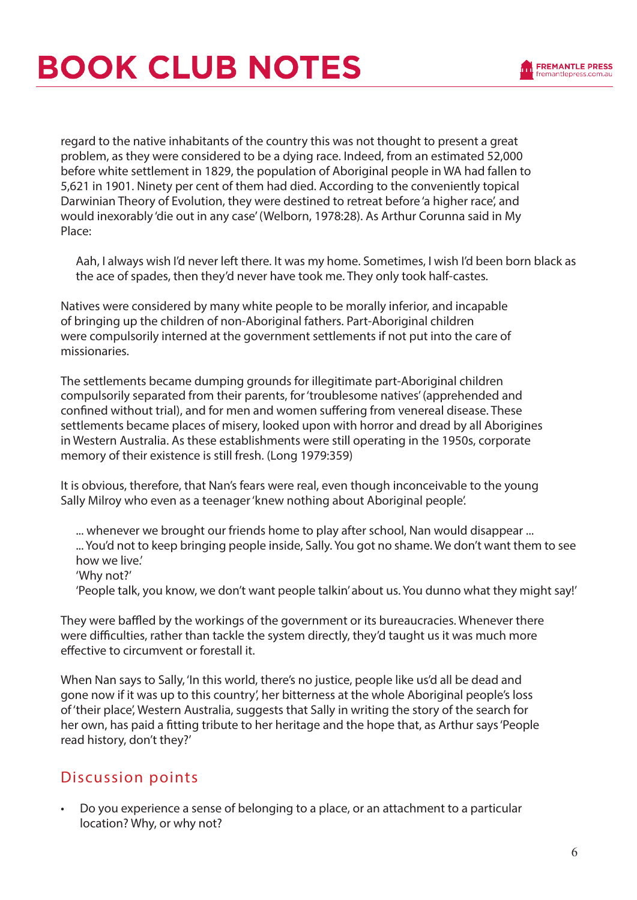

regard to the native inhabitants of the country this was not thought to present a great problem, as they were considered to be a dying race. Indeed, from an estimated 52,000 before white settlement in 1829, the population of Aboriginal people in WA had fallen to 5,621 in 1901. Ninety per cent of them had died. According to the conveniently topical Darwinian Theory of Evolution, they were destined to retreat before 'a higher race', and would inexorably 'die out in any case' (Welborn, 1978:28). As Arthur Corunna said in My Place:

Aah, I always wish I'd never left there. It was my home. Sometimes, I wish I'd been born black as the ace of spades, then they'd never have took me. They only took half-castes.

Natives were considered by many white people to be morally inferior, and incapable of bringing up the children of non-Aboriginal fathers. Part-Aboriginal children were compulsorily interned at the government settlements if not put into the care of missionaries.

The settlements became dumping grounds for illegitimate part-Aboriginal children compulsorily separated from their parents, for 'troublesome natives' (apprehended and confined without trial), and for men and women suffering from venereal disease. These settlements became places of misery, looked upon with horror and dread by all Aborigines in Western Australia. As these establishments were still operating in the 1950s, corporate memory of their existence is still fresh. (Long 1979:359)

It is obvious, therefore, that Nan's fears were real, even though inconceivable to the young Sally Milroy who even as a teenager 'knew nothing about Aboriginal people'.

... whenever we brought our friends home to play after school, Nan would disappear ... ... You'd not to keep bringing people inside, Sally. You got no shame. We don't want them to see how we live.' 'Why not?' 'People talk, you know, we don't want people talkin' about us. You dunno what they might say!'

They were baffled by the workings of the government or its bureaucracies. Whenever there were difficulties, rather than tackle the system directly, they'd taught us it was much more effective to circumvent or forestall it.

When Nan says to Sally, 'In this world, there's no justice, people like us'd all be dead and gone now if it was up to this country', her bitterness at the whole Aboriginal people's loss of 'their place', Western Australia, suggests that Sally in writing the story of the search for her own, has paid a fitting tribute to her heritage and the hope that, as Arthur says 'People read history, don't they?'

#### Discussion points

Do you experience a sense of belonging to a place, or an attachment to a particular location? Why, or why not?